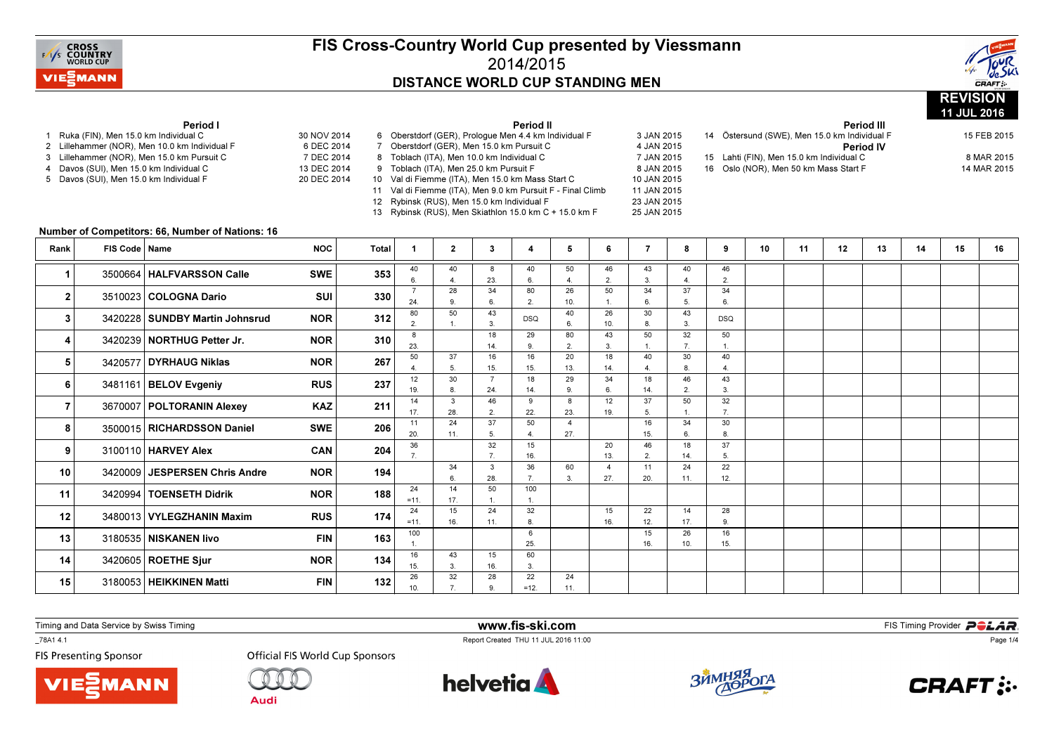



|                                                                                                                                                                                                                                       |                 |                                                  |                                                        |                                                                   |                                                                                                                                                                                                                                                                                                                                                           |                |                       |                       |                       |                       |                      |                      |                                                                                                                                                                                                                                                             |    |    |             | Period III |    | 11 JUL 2016 |    |
|---------------------------------------------------------------------------------------------------------------------------------------------------------------------------------------------------------------------------------------|-----------------|--------------------------------------------------|--------------------------------------------------------|-------------------------------------------------------------------|-----------------------------------------------------------------------------------------------------------------------------------------------------------------------------------------------------------------------------------------------------------------------------------------------------------------------------------------------------------|----------------|-----------------------|-----------------------|-----------------------|-----------------------|----------------------|----------------------|-------------------------------------------------------------------------------------------------------------------------------------------------------------------------------------------------------------------------------------------------------------|----|----|-------------|------------|----|-------------|----|
| Period I<br>Ruka (FIN), Men 15.0 km Individual C<br>2 Lillehammer (NOR), Men 10.0 km Individual F<br>3 Lillehammer (NOR), Men 15.0 km Pursuit C<br>4 Davos (SUI), Men 15.0 km Individual C<br>5 Davos (SUI), Men 15.0 km Individual F |                 |                                                  | 30 NOV 2014                                            | Period II<br>6 Oberstdorf (GER), Prologue Men 4.4 km Individual F |                                                                                                                                                                                                                                                                                                                                                           |                |                       |                       |                       |                       |                      | 3 JAN 2015           |                                                                                                                                                                                                                                                             |    |    | 15 FEB 2015 |            |    |             |    |
|                                                                                                                                                                                                                                       |                 |                                                  | 6 DEC 2014<br>7 DEC 2014<br>13 DEC 2014<br>20 DEC 2014 |                                                                   | 7 Oberstdorf (GER), Men 15.0 km Pursuit C<br>8 Toblach (ITA), Men 10.0 km Individual C<br>9 Toblach (ITA), Men 25.0 km Pursuit F<br>10 Val di Fiemme (ITA), Men 15.0 km Mass Start C<br>11 Val di Fiemme (ITA), Men 9.0 km Pursuit F - Final Climb<br>12 Rybinsk (RUS), Men 15.0 km Individual F<br>13 Rybinsk (RUS), Men Skiathlon 15.0 km C + 15.0 km F |                |                       |                       |                       |                       |                      |                      | 14 Östersund (SWE), Men 15.0 km Individual F<br>4 JAN 2015<br><b>Period IV</b><br>7 JAN 2015<br>15 Lahti (FIN), Men 15.0 km Individual C<br>8 JAN 2015<br>16 Oslo (NOR), Men 50 km Mass Start F<br>10 JAN 2015<br>11 JAN 2015<br>23 JAN 2015<br>25 JAN 2015 |    |    |             |            |    |             |    |
|                                                                                                                                                                                                                                       |                 | Number of Competitors: 66, Number of Nations: 16 |                                                        |                                                                   |                                                                                                                                                                                                                                                                                                                                                           |                |                       |                       |                       |                       |                      |                      |                                                                                                                                                                                                                                                             |    |    |             |            |    |             |    |
| Rank                                                                                                                                                                                                                                  | FIS Code   Name |                                                  | <b>NOC</b>                                             | <b>Total</b>                                                      | $\mathbf{1}$                                                                                                                                                                                                                                                                                                                                              | $\overline{2}$ | $3^{\circ}$           | 4                     | 5                     | 6                     | $\overline{7}$       | 8                    | 9                                                                                                                                                                                                                                                           | 10 | 11 | 12          | 13         | 14 | 15          | 16 |
| -1                                                                                                                                                                                                                                    |                 | 3500664   HALFVARSSON Calle                      | <b>SWE</b>                                             | 353                                                               | 40<br>6.                                                                                                                                                                                                                                                                                                                                                  | 40<br>4.       | 8<br>23.              | 40<br>6.              | 50<br>$\overline{4}$  | 46<br>$\overline{2}$  | 43<br>3.             | 40<br>$\overline{4}$ | 46<br>2.                                                                                                                                                                                                                                                    |    |    |             |            |    |             |    |
| $\mathbf{2}$                                                                                                                                                                                                                          |                 | 3510023 COLOGNA Dario                            | SUI                                                    | 330                                                               | $\overline{7}$<br>24.                                                                                                                                                                                                                                                                                                                                     | 28<br>9.       | 34<br>6.              | 80<br>2.              | 26<br>10.             | 50                    | 34<br>6.             | 37<br>5.             | 34<br>6.                                                                                                                                                                                                                                                    |    |    |             |            |    |             |    |
| 3                                                                                                                                                                                                                                     |                 | 3420228   SUNDBY Martin Johnsrud                 | <b>NOR</b>                                             | 312                                                               | 80<br>2.                                                                                                                                                                                                                                                                                                                                                  | 50             | 43<br>3 <sub>1</sub>  | <b>DSQ</b>            | 40<br>6.              | 26<br>10.             | 30<br>8.             | 43<br>3              | <b>DSQ</b>                                                                                                                                                                                                                                                  |    |    |             |            |    |             |    |
| 4                                                                                                                                                                                                                                     |                 | 3420239   NORTHUG Petter Jr.                     | <b>NOR</b>                                             | 310                                                               | 8<br>23.                                                                                                                                                                                                                                                                                                                                                  |                | 18<br>14.             | 29<br>9.              | 80<br>2.              | 43<br>3.              | 50<br>$\mathbf{1}$ . | 32<br>7.             | 50<br>$\mathbf{1}$                                                                                                                                                                                                                                          |    |    |             |            |    |             |    |
| 5                                                                                                                                                                                                                                     |                 | 3420577 DYRHAUG Niklas                           | <b>NOR</b>                                             | 267                                                               | 50                                                                                                                                                                                                                                                                                                                                                        | 37             | 16                    | 16                    | 20                    | 18                    | 40                   | 30                   | 40                                                                                                                                                                                                                                                          |    |    |             |            |    |             |    |
| 6                                                                                                                                                                                                                                     |                 | 3481161 BELOV Evgeniy                            | <b>RUS</b>                                             | 237                                                               | 4.<br>12                                                                                                                                                                                                                                                                                                                                                  | 5.<br>30       | 15.<br>$\overline{7}$ | 15.<br>18             | 13.<br>29             | 14.<br>34             | $\overline{a}$<br>18 | 8.<br>46             | $\overline{4}$<br>43                                                                                                                                                                                                                                        |    |    |             |            |    |             |    |
| $\overline{7}$                                                                                                                                                                                                                        |                 | 3670007   POLTORANIN Alexey                      | <b>KAZ</b>                                             | 211                                                               | 19.<br>14                                                                                                                                                                                                                                                                                                                                                 | 8.<br>3        | 24.<br>46             | 14.<br>9              | $\mathbf{Q}$<br>8     | 6.<br>12              | 14.<br>37            | 2.<br>50             | 3.<br>32                                                                                                                                                                                                                                                    |    |    |             |            |    |             |    |
|                                                                                                                                                                                                                                       |                 |                                                  |                                                        |                                                                   | 17.<br>11                                                                                                                                                                                                                                                                                                                                                 | 28.<br>24      | 2.<br>37              | 22.<br>50             | 23.<br>$\overline{4}$ | 19.                   | 5.<br>16             | $\mathbf{1}$<br>34   | 7.<br>30                                                                                                                                                                                                                                                    |    |    |             |            |    |             |    |
| 8                                                                                                                                                                                                                                     |                 | 3500015   RICHARDSSON Daniel                     | <b>SWE</b>                                             | 206                                                               | 20.                                                                                                                                                                                                                                                                                                                                                       | 11.            | 5.                    | $\overline{4}$ .      | 27.                   |                       | 15.                  | 6.                   | 8.                                                                                                                                                                                                                                                          |    |    |             |            |    |             |    |
| 9                                                                                                                                                                                                                                     |                 | 3100110 HARVEY Alex                              | CAN                                                    | 204                                                               | 36<br>$\overline{7}$ .                                                                                                                                                                                                                                                                                                                                    |                | 32<br>7.              | 15<br>16.             |                       | 20<br>13.             | 46<br>2.             | 18<br>14.            | 37<br>5.                                                                                                                                                                                                                                                    |    |    |             |            |    |             |    |
| 10                                                                                                                                                                                                                                    |                 | 3420009 JESPERSEN Chris Andre                    | <b>NOR</b>                                             | 194                                                               |                                                                                                                                                                                                                                                                                                                                                           | 34<br>6.       | 3<br>28.              | 36<br>7 <sub>1</sub>  | 60<br>3.              | $\overline{4}$<br>27. | 11<br>20.            | 24<br>11.            | 22<br>12.                                                                                                                                                                                                                                                   |    |    |             |            |    |             |    |
| 11                                                                                                                                                                                                                                    |                 | 3420994   TOENSETH Didrik                        | <b>NOR</b>                                             | 188                                                               | 24<br>$= 11.$                                                                                                                                                                                                                                                                                                                                             | 14<br>17.      | 50<br>$\mathbf{1}$ .  | 100<br>$\mathbf{1}$ . |                       |                       |                      |                      |                                                                                                                                                                                                                                                             |    |    |             |            |    |             |    |
| 12                                                                                                                                                                                                                                    |                 | 3480013 VYLEGZHANIN Maxim                        | <b>RUS</b>                                             | 174                                                               | 24<br>$= 11.$                                                                                                                                                                                                                                                                                                                                             | 15             | 24                    | 32<br>8.              |                       | 15<br>16.             | 22                   | 14<br>17.            | 28<br>9.                                                                                                                                                                                                                                                    |    |    |             |            |    |             |    |
| 13                                                                                                                                                                                                                                    |                 | 3180535 NISKANEN livo                            | <b>FIN</b>                                             | 163                                                               | 100                                                                                                                                                                                                                                                                                                                                                       | 16.            | 11.                   | 6                     |                       |                       | 12.<br>15            | 26                   | 16                                                                                                                                                                                                                                                          |    |    |             |            |    |             |    |
| 14                                                                                                                                                                                                                                    |                 | 3420605 ROETHE Sjur                              | <b>NOR</b>                                             | 134                                                               | $1$ .<br>16                                                                                                                                                                                                                                                                                                                                               | 43             | 15                    | 25.<br>60             |                       |                       | 16.                  | 10.                  | 15.                                                                                                                                                                                                                                                         |    |    |             |            |    |             |    |
|                                                                                                                                                                                                                                       |                 |                                                  |                                                        |                                                                   | 15.<br>26                                                                                                                                                                                                                                                                                                                                                 | 3.<br>32       | 16.<br>28             | 3.<br>22              | 24                    |                       |                      |                      |                                                                                                                                                                                                                                                             |    |    |             |            |    |             |    |
| 15                                                                                                                                                                                                                                    |                 | 3180053 HEIKKINEN Matti                          | <b>FIN</b>                                             | 132                                                               | 10 <sub>1</sub>                                                                                                                                                                                                                                                                                                                                           | $\overline{7}$ | 9                     | $=12.$                | 11.                   |                       |                      |                      |                                                                                                                                                                                                                                                             |    |    |             |            |    |             |    |

Timing and Data Service by Swiss Timing

**MANN** 

\_78A1 4.1

**FIS Presenting Sponsor** 



**Audi** 



www.fis-ski.com

Report Created THU 11 JUL 2016 11:00



**m**<br>FIS Timing Provider<br>Is 11:00



Page 1/4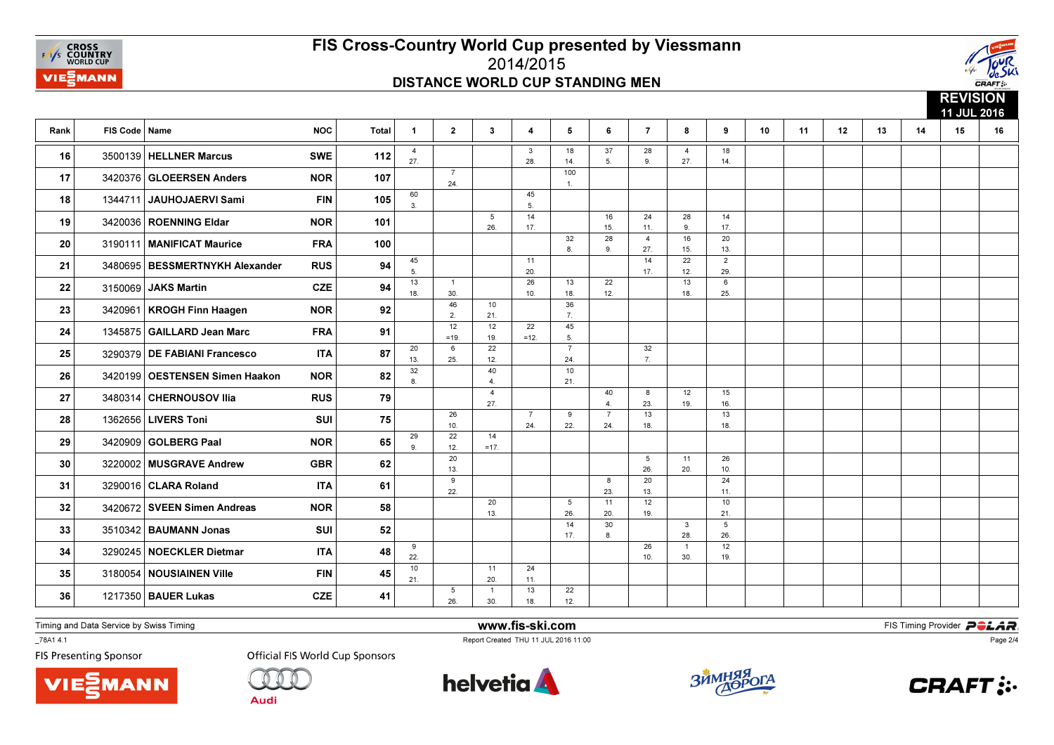



|      |                 |                                  |            |              |                       |                        |                       |                       |                        |                       |                       |                       |                       |    |    |    |    |    | <b>NEVISION</b><br>11 JUL 2016 |    |
|------|-----------------|----------------------------------|------------|--------------|-----------------------|------------------------|-----------------------|-----------------------|------------------------|-----------------------|-----------------------|-----------------------|-----------------------|----|----|----|----|----|--------------------------------|----|
| Rank | FIS Code   Name |                                  | <b>NOC</b> | <b>Total</b> | $\mathbf{1}$          | $\overline{2}$         | $\mathbf{3}$          | 4                     | 5                      | 6                     | $\overline{7}$        | 8                     | 9                     | 10 | 11 | 12 | 13 | 14 | 15                             | 16 |
| 16   |                 | 3500139   HELLNER Marcus         | <b>SWE</b> | 112          | $\overline{4}$<br>27. |                        |                       | $\mathbf{3}$<br>28.   | 18<br>14.              | 37<br>5.              | 28<br>9.              | 4<br>27.              | 18<br>14.             |    |    |    |    |    |                                |    |
| 17   |                 | 3420376 GLOEERSEN Anders         | <b>NOR</b> | 107          |                       | $\overline{7}$<br>24.  |                       |                       | 100<br>1.              |                       |                       |                       |                       |    |    |    |    |    |                                |    |
| 18   |                 | 1344711 JAUHOJAERVI Sami         | <b>FIN</b> | 105          | 60<br>3.              |                        |                       | 45<br>5.              |                        |                       |                       |                       |                       |    |    |    |    |    |                                |    |
| 19   |                 | 3420036 ROENNING Eldar           | <b>NOR</b> | 101          |                       |                        | 5<br>26.              | 14<br>17.             |                        | 16<br>15.             | 24<br>11.             | 28<br>9.              | 14<br>17.             |    |    |    |    |    |                                |    |
| 20   |                 | 3190111   MANIFICAT Maurice      | <b>FRA</b> | 100          |                       |                        |                       |                       | 32<br>8.               | 28<br>9.              | $\overline{4}$<br>27. | 16<br>15.             | 20<br>13.             |    |    |    |    |    |                                |    |
| 21   |                 | 3480695   BESSMERTNYKH Alexander | <b>RUS</b> | 94           | 45<br>5.              |                        |                       | 11<br>20.             |                        |                       | 14<br>17.             | 22<br>12.             | $\overline{2}$<br>29. |    |    |    |    |    |                                |    |
| 22   | 3150069         | JAKS Martin                      | <b>CZE</b> | 94           | 13<br>18.             | $\overline{1}$<br>30.  |                       | 26<br>10.             | 13<br>18.              | 22<br>12.             |                       | 13<br>18.             | 6<br>25.              |    |    |    |    |    |                                |    |
| 23   |                 | 3420961   KROGH Finn Haagen      | <b>NOR</b> | 92           |                       | 46<br>2.               | 10<br>21.             |                       | 36<br>7.               |                       |                       |                       |                       |    |    |    |    |    |                                |    |
| 24   | 1345875         | GAILLARD Jean Marc               | <b>FRA</b> | 91           |                       | 12<br>$=19.$           | 12<br>19.             | 22<br>$=12.$          | 45<br>5.               |                       |                       |                       |                       |    |    |    |    |    |                                |    |
| 25   |                 | 3290379 DE FABIANI Francesco     | <b>ITA</b> | 87           | 20<br>13.             | 6<br>25.               | 22<br>12.             |                       | $\overline{7}$<br>24.  |                       | 32<br>7.              |                       |                       |    |    |    |    |    |                                |    |
| 26   |                 | 3420199   OESTENSEN Simen Haakon | <b>NOR</b> | 82           | 32<br>8.              |                        | 40<br>4.              |                       | 10 <sup>°</sup><br>21. |                       |                       |                       |                       |    |    |    |    |    |                                |    |
| 27   |                 | 3480314 CHERNOUSOV Ilia          | <b>RUS</b> | 79           |                       |                        | $\overline{4}$<br>27. |                       |                        | 40<br>$\mathbf{4}$    | 8<br>23.              | 12<br>19.             | 15<br>16.             |    |    |    |    |    |                                |    |
| 28   |                 | 1362656 LIVERS Toni              | <b>SUI</b> | 75           |                       | 26<br>10.              |                       | $\overline{7}$<br>24. | 9<br>22.               | $\overline{7}$<br>24. | 13<br>18.             |                       | 13<br>18.             |    |    |    |    |    |                                |    |
| 29   | 3420909         | GOLBERG Paal                     | <b>NOR</b> | 65           | 29<br>9.              | 22<br>12.              | 14<br>$=17.$          |                       |                        |                       |                       |                       |                       |    |    |    |    |    |                                |    |
| 30   |                 | 3220002 MUSGRAVE Andrew          | <b>GBR</b> | 62           |                       | 20<br>13.              |                       |                       |                        |                       | 5<br>26.              | 11<br>20.             | 26<br>10.             |    |    |    |    |    |                                |    |
| 31   |                 | 3290016   CLARA Roland           | <b>ITA</b> | 61           |                       | 9<br>22.               |                       |                       |                        | 8<br>23.              | 20<br>13.             |                       | 24<br>11.             |    |    |    |    |    |                                |    |
| 32   |                 | 3420672 SVEEN Simen Andreas      | <b>NOR</b> | 58           |                       |                        | 20<br>13.             |                       | 5<br>26.               | 11<br>20.             | 12<br>19.             |                       | 10<br>21.             |    |    |    |    |    |                                |    |
| 33   |                 | 3510342 BAUMANN Jonas            | SUI        | 52           |                       |                        |                       |                       | 14<br>17.              | 30<br>8.              |                       | $\mathbf{3}$<br>28.   | 5<br>26.              |    |    |    |    |    |                                |    |
| 34   |                 | 3290245 NOECKLER Dietmar         | <b>ITA</b> | 48           | 9<br>22.              |                        |                       |                       |                        |                       | 26<br>10.             | $\overline{1}$<br>30. | 12<br>19.             |    |    |    |    |    |                                |    |
| 35   |                 | 3180054 NOUSIAINEN Ville         | <b>FIN</b> | 45           | 10<br>21.             |                        | 11<br>20.             | 24<br>11.             |                        |                       |                       |                       |                       |    |    |    |    |    |                                |    |
| 36   |                 | 1217350   BAUER Lukas            | <b>CZE</b> | 41           |                       | $5\phantom{.0}$<br>26. | $\mathbf{1}$<br>30.   | 13<br>18.             | 22<br>12.              |                       |                       |                       |                       |    |    |    |    |    |                                |    |
|      |                 |                                  |            |              |                       |                        |                       |                       |                        |                       |                       |                       |                       |    |    |    |    |    |                                |    |

Timing and Data Service by Swiss Timing

\_78A1 4.1

**FIS Presenting Sponsor** 





**Official FIS World Cup Sponsors** 



www.fis-ski.com

Report Created THU 11 JUL 2016 11:00



**m**<br>FIS Timing Provider<br>Is 11:00



Page 2/4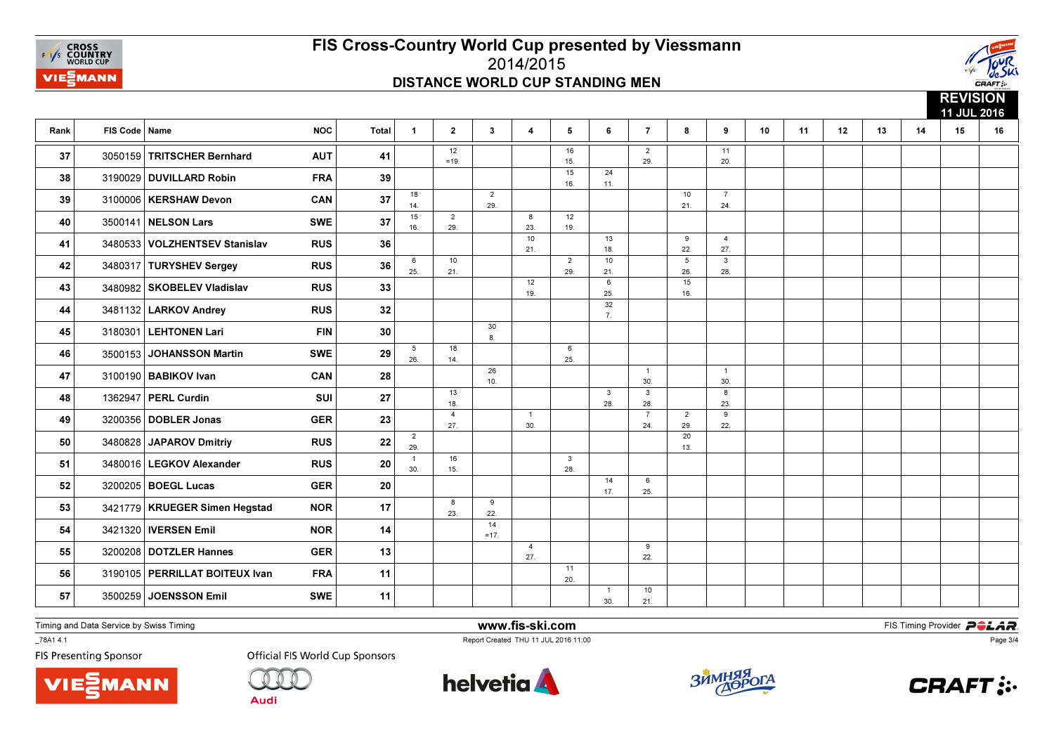



**REVISION**  11 JUL 2016Rank FIS Code Namee NOC | Total | 1 | 2 | 3 | 4 | 5 | 6 | 7 | 8 | 9 | 10 | 11 | 12 | 13 | 14 | 15 | 16 12 =19.16 15. 15 $\overline{2}$  29.1120. 37 3050159 TRITSCHER Bernhard AUT 41  $\frac{1}{20}$   $\frac{1}{20}$  1  $\frac{1}{20}$   $\frac{1}{20}$  20 16. $\overline{24}$  $11.$  $\begin{array}{|c|c|c|c|c|}\hline \textbf{3190029} & \textbf{DUVILL} & \textbf{R}\textbf{D} & \textbf{R}\textbf{D} & \textbf{R}\textbf{D} & \textbf{R}\textbf{D} & \textbf{R}\textbf{D} & \textbf{R}\textbf{D} & \textbf{R}\textbf{D} & \textbf{R}\textbf{D} & \textbf{R}\textbf{D} & \textbf{R}\textbf{D} & \textbf{R}\textbf{D} & \textbf{R}\textbf{D} & \textbf{R}\textbf{D} & \textbf{R}\textbf{D} & \textbf{R}\textbf{D}$ 18 14. 152 29.10 21.724  $239$  3100006 KERSHAW Devon CAN  $29$   $24$   $24$   $24$  16. $\overline{2}$  29.8 23. $\overline{12}$ 19. **40** 3500141 **NELSON Lars** SWE 37  $\begin{array}{|c|c|c|c|c|c|}\n\hline\n & 3500141 & \text{NEE} & \text{SOD} & \text{RBS} \\
\hline\n\end{array}$ 10 21.13 18. 109 22. 5427. 41 3480533 VOLZHENTSEV Stanislav RUS 36 | | |  $\frac{21}{21}$  |  $\frac{1}{18}$  |  $\frac{1}{22}$  |  $\frac{27}{27}$ 6 25.10 21.2 29. 21. 6 26. 15328 42 3480317 TURYSHEV Sergey RUS 36  $\frac{1}{25}$  21 |  $\frac{1}{29}$  21 |  $\frac{1}{29}$  21 |  $\frac{1}{26}$  28 12 19. 25. $\frac{1}{32}$ 16. 16.<sup>43</sup> <sup>3480982</sup> SKOBELEV Vladislav RUS <sup>33</sup>  $7.$ 44 3481132 LARKOV Andrey RUS  $32$  | | | |  $\frac{7}{7}$ 30 $8.$  $\begin{array}{|c|c|c|c|c|}\n \hline\n \textbf{8.3180301} & \textbf{LEHTONEN Lari} & \textbf{FIN} & \textbf{30} & \textbf{30} & \textbf{30} & \textbf{310} & \textbf{30} & \textbf{30} & \textbf{30} & \textbf{30} & \textbf{30} & \textbf{30} & \textbf{30} & \textbf{30} & \textbf{30} & \textbf{30} & \textbf{30} & \textbf{30} & \textbf{30} & \textbf{30} & \textbf{30} & \textbf{30} & \textbf$ 5 26.18 14.625. 46 3500153 JOHANSSON Martin SWE 29  $\frac{1}{26}$  14 |  $\frac{1}{25}$ 46 3500153 26 10.1 30.1 $30<sub>1</sub>$ 47 3100190 BABIKOV Ivan CAN 28 |  $\frac{1}{10}$  | | |  $\frac{30}{30}$  | |  $\frac{30}{30}$ 13 18.3 28.3 28.823. **48** 1362947 **PERL Curdin** SUI 27  $\begin{array}{|c|c|c|c|c|c|c|} \hline \end{array}$   $\begin{array}{|c|c|c|c|c|c|} \hline \end{array}$   $\begin{array}{|c|c|c|c|c|c|} \hline \end{array}$   $\begin{array}{|c|c|c|c|c|c|} \hline \end{array}$   $\begin{array}{|c|c|c|c|c|} \hline \end{array}$   $\begin{array}{|c|c|c|c|c|} \hline \end{array}$   $\begin{array}{|c|$ 4 27.1 30.7 24.2 29. $\frac{1}{20}$ 9 $22.$ 49 3200356 DOBLER Jonas GER 23 22 3 30 320 322 23 23 49 3200356 DOBLER Jonas GER 3200356 DOBLER Jonas 2 29.13. 50 3480828 JAPAROV Dmitriy RUS 22  $\frac{1}{29}$  | | | | | | | 50 3480828 JAPAROV Dmitriy RUS 22 1 30.16 15.328 51 3480016 LEGKOV Alexander RUS 20  $\frac{1}{30}$  25  $\frac{1}{15}$  |  $\frac{1}{28}$ 14 17.625. 52 3200205 BOEGL Lucas GER 20 | | | | |  $\frac{1}{17}$  |  $_{25}$ 8 23.922. 22.<sup>53</sup> <sup>3421779</sup> KRUEGER Simen Hegstad NOR <sup>17</sup> 14 $=17.$ **54** 3421320 **IVERSEN Emil** NOR 14 14 1 4 27. $\overline{9}$  $22.$ 55 3200208 DOTZLER Hannes GER 13 |  $\frac{1}{22}$  |  $\frac{1}{22}$ 1120. 56 3190105 PERRILLAT BOITEUX Ivan FRA 11 | | | |  $\frac{1}{20}$  $\overline{1}$  30.10 $21.$ 57 3500259 JOENSSON Emil SWE 11 | | | |  $_3$  |  $_{21}$ 

Timing and Data Service by Swiss Timing

\_78A1 4.1

**FIS Presenting Sponsor** 





**Official FIS World Cup Sponsors** 



www.fis-ski.com

Report Created THU 11 JUL 2016 11:00



**m**<br>FIS Timing Provider<br>Is 11:00



Page 3/4